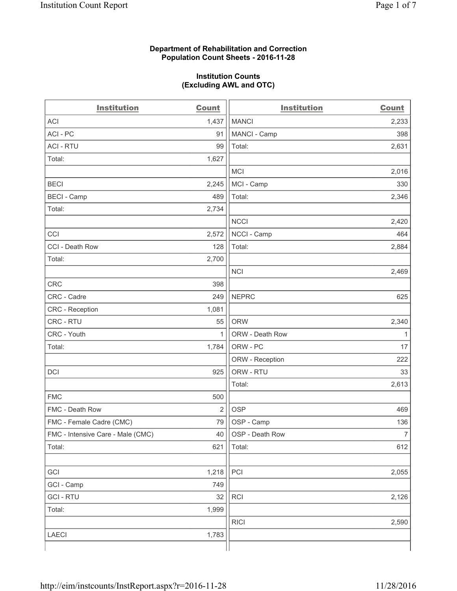### **Department of Rehabilitation and Correction Population Count Sheets - 2016-11-28**

#### **Institution Counts (Excluding AWL and OTC)**

| <b>Institution</b>                | <b>Count</b>   | <b>Institution</b> | <b>Count</b>   |
|-----------------------------------|----------------|--------------------|----------------|
| <b>ACI</b>                        | 1,437          | <b>MANCI</b>       | 2,233          |
| ACI - PC                          | 91             | MANCI - Camp       | 398            |
| <b>ACI - RTU</b>                  | 99             | Total:             | 2,631          |
| Total:                            | 1,627          |                    |                |
|                                   |                | <b>MCI</b>         | 2,016          |
| <b>BECI</b>                       | 2,245          | MCI - Camp         | 330            |
| <b>BECI</b> - Camp                | 489            | Total:             | 2,346          |
| Total:                            | 2,734          |                    |                |
|                                   |                | <b>NCCI</b>        | 2,420          |
| CCI                               | 2,572          | NCCI - Camp        | 464            |
| CCI - Death Row                   | 128            | Total:             | 2,884          |
| Total:                            | 2,700          |                    |                |
|                                   |                | <b>NCI</b>         | 2,469          |
| <b>CRC</b>                        | 398            |                    |                |
| CRC - Cadre                       | 249            | <b>NEPRC</b>       | 625            |
| <b>CRC</b> - Reception            | 1,081          |                    |                |
| CRC - RTU                         | 55             | <b>ORW</b>         | 2,340          |
| CRC - Youth                       | $\mathbf{1}$   | ORW - Death Row    | 1              |
| Total:                            | 1,784          | ORW - PC           | 17             |
|                                   |                | ORW - Reception    | 222            |
| DCI                               | 925            | ORW - RTU          | 33             |
|                                   |                | Total:             | 2,613          |
| <b>FMC</b>                        | 500            |                    |                |
| FMC - Death Row                   | $\overline{2}$ | <b>OSP</b>         | 469            |
| FMC - Female Cadre (CMC)          | 79             | OSP - Camp         | 136            |
| FMC - Intensive Care - Male (CMC) | 40             | OSP - Death Row    | $\overline{7}$ |
| Total:                            | 621            | Total:             | 612            |
|                                   |                |                    |                |
| GCI                               | 1,218          | PCI                | 2,055          |
| GCI - Camp                        | 749            |                    |                |
| <b>GCI-RTU</b>                    | 32             | RCI                | 2,126          |
| Total:                            | 1,999          |                    |                |
|                                   |                | <b>RICI</b>        | 2,590          |
| LAECI                             | 1,783          |                    |                |
|                                   |                |                    |                |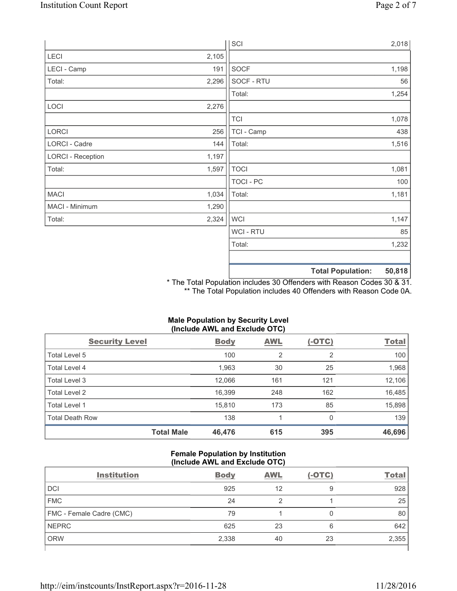|                          |       | SCI              |                          | 2,018  |
|--------------------------|-------|------------------|--------------------------|--------|
| LECI                     | 2,105 |                  |                          |        |
| LECI - Camp              | 191   | <b>SOCF</b>      |                          | 1,198  |
| Total:                   | 2,296 | SOCF - RTU       |                          | 56     |
|                          |       | Total:           |                          | 1,254  |
| LOCI                     | 2,276 |                  |                          |        |
|                          |       | <b>TCI</b>       |                          | 1,078  |
| LORCI                    | 256   | TCI - Camp       |                          | 438    |
| LORCI - Cadre            | 144   | Total:           |                          | 1,516  |
| <b>LORCI - Reception</b> | 1,197 |                  |                          |        |
| Total:                   | 1,597 | <b>TOCI</b>      |                          | 1,081  |
|                          |       | <b>TOCI - PC</b> |                          | 100    |
| <b>MACI</b>              | 1,034 | Total:           |                          | 1,181  |
| MACI - Minimum           | 1,290 |                  |                          |        |
| Total:                   | 2,324 | <b>WCI</b>       |                          | 1,147  |
|                          |       | <b>WCI-RTU</b>   |                          | 85     |
|                          |       | Total:           |                          | 1,232  |
|                          |       |                  | <b>Total Population:</b> | 50,818 |

\* The Total Population includes 30 Offenders with Reason Codes 30 & 31. \*\* The Total Population includes 40 Offenders with Reason Code 0A.

# **Male Population by Security Level (Include AWL and Exclude OTC)**

| <b>Security Level</b>  |                   | <b>Body</b> | AWL            | $(-OTC)$       | <b>Total</b> |
|------------------------|-------------------|-------------|----------------|----------------|--------------|
| Total Level 5          |                   | 100         | $\overline{2}$ | $\overline{2}$ | 100          |
| Total Level 4          |                   | 1,963       | 30             | 25             | 1,968        |
| Total Level 3          |                   | 12,066      | 161            | 121            | 12,106       |
| Total Level 2          |                   | 16,399      | 248            | 162            | 16,485       |
| Total Level 1          |                   | 15,810      | 173            | 85             | 15,898       |
| <b>Total Death Row</b> |                   | 138         |                | 0              | 139          |
|                        | <b>Total Male</b> | 46,476      | 615            | 395            | 46,696       |

### **Female Population by Institution (Include AWL and Exclude OTC)**

| <b>Institution</b>       | <b>Body</b> | <b>AWL</b> | $(-OTC)$ | <b>Total</b> |
|--------------------------|-------------|------------|----------|--------------|
| <b>DCI</b>               | 925         | 12         | 9        | 928          |
| <b>FMC</b>               | 24          |            |          | 25           |
| FMC - Female Cadre (CMC) | 79          |            |          | 80           |
| <b>NEPRC</b>             | 625         | 23         | 6        | 642          |
| <b>ORW</b>               | 2,338       | 40         | 23       | 2,355        |
|                          |             |            |          |              |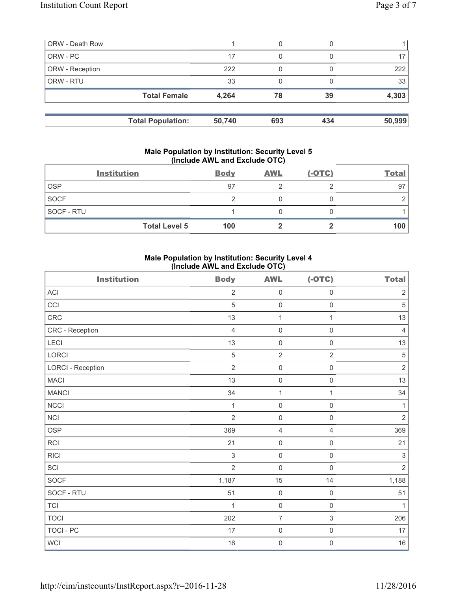| <b>ORW - Death Row</b> |                          |        | 0   |     |        |
|------------------------|--------------------------|--------|-----|-----|--------|
| ORW - PC               |                          | 17     | 0   |     |        |
| ORW - Reception        |                          | 222    |     |     | 222    |
| ORW - RTU              |                          | 33     | 0   |     | 33     |
|                        | <b>Total Female</b>      | 4,264  | 78  | 39  | 4,303  |
|                        | <b>Total Population:</b> | 50,740 | 693 | 434 | 50,999 |

### **Male Population by Institution: Security Level 5 (Include AWL and Exclude OTC)**

|             | <b>Institution</b>   | <b>Body</b> | <b>AWL</b> | $(-OTC)$ | <b>Total</b> |
|-------------|----------------------|-------------|------------|----------|--------------|
| <b>OSP</b>  |                      | 97          |            |          | 97           |
| <b>SOCF</b> |                      |             |            |          |              |
| SOCF - RTU  |                      |             |            |          |              |
|             | <b>Total Level 5</b> | 100         |            |          | 100          |

# **Male Population by Institution: Security Level 4 (Include AWL and Exclude OTC)**

| <b>Institution</b>       | <b>Body</b>    | <b>AWL</b>          | $(-OTC)$            | <b>Total</b>   |
|--------------------------|----------------|---------------------|---------------------|----------------|
| <b>ACI</b>               | $\overline{2}$ | $\mathsf 0$         | $\mathsf{O}\xspace$ | $\overline{2}$ |
| CCI                      | 5              | $\mathsf{O}\xspace$ | $\mathsf{O}\xspace$ | $\sqrt{5}$     |
| CRC                      | 13             | $\mathbf{1}$        | $\mathbf{1}$        | 13             |
| CRC - Reception          | $\overline{4}$ | $\mathsf{O}\xspace$ | $\mathsf{O}\xspace$ | $\overline{4}$ |
| LECI                     | 13             | $\mathsf{O}\xspace$ | $\mathbf 0$         | 13             |
| LORCI                    | $\sqrt{5}$     | $\overline{2}$      | $\overline{2}$      | $\sqrt{5}$     |
| <b>LORCI - Reception</b> | $\overline{2}$ | $\mathsf{O}\xspace$ | $\mathsf 0$         | $\sqrt{2}$     |
| <b>MACI</b>              | 13             | $\mathsf{O}\xspace$ | $\mathsf{O}\xspace$ | 13             |
| <b>MANCI</b>             | 34             | $\mathbf{1}$        | $\mathbf{1}$        | 34             |
| <b>NCCI</b>              | 1              | $\mathsf{O}\xspace$ | $\mathsf 0$         | $\mathbf{1}$   |
| NCI                      | $\overline{2}$ | $\mathsf{O}\xspace$ | $\mathsf{O}\xspace$ | $\sqrt{2}$     |
| <b>OSP</b>               | 369            | $\overline{4}$      | 4                   | 369            |
| <b>RCI</b>               | 21             | $\mathsf{O}\xspace$ | $\mathsf 0$         | 21             |
| <b>RICI</b>              | $\sqrt{3}$     | $\mathsf{O}\xspace$ | $\mathsf{O}\xspace$ | $\sqrt{3}$     |
| SCI                      | $\overline{2}$ | $\mathbf 0$         | $\mathbf 0$         | $\overline{2}$ |
| SOCF                     | 1,187          | 15                  | 14                  | 1,188          |
| SOCF - RTU               | 51             | $\mathsf{O}\xspace$ | $\mathsf 0$         | 51             |
| <b>TCI</b>               | 1              | $\mathsf{O}\xspace$ | $\mathsf{O}\xspace$ | $\mathbf{1}$   |
| <b>TOCI</b>              | 202            | $\overline{7}$      | $\,$ 3 $\,$         | 206            |
| <b>TOCI - PC</b>         | 17             | $\mathsf{O}\xspace$ | $\mathsf 0$         | 17             |
| WCI                      | 16             | $\mathbf 0$         | $\mathsf{O}\xspace$ | 16             |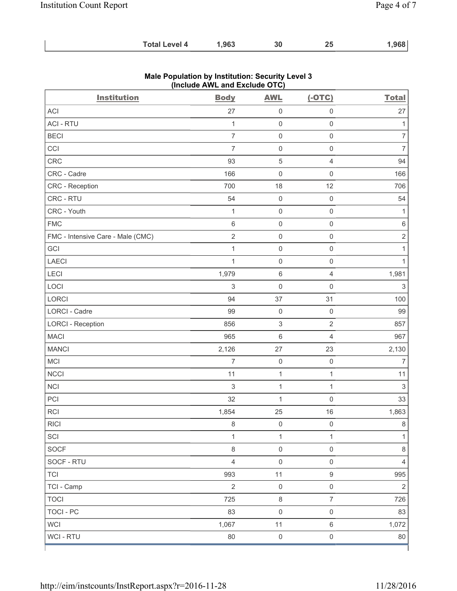| .963<br>30<br><b>Total Level 4</b> | ,968 |
|------------------------------------|------|
|------------------------------------|------|

| <b>Institution</b>                | <b>Body</b>               | <b>AWL</b>                | $(-OTC)$            | <b>Total</b>              |
|-----------------------------------|---------------------------|---------------------------|---------------------|---------------------------|
| ACI                               | 27                        | $\mathsf{O}\xspace$       | $\mathsf{O}\xspace$ | 27                        |
| <b>ACI - RTU</b>                  | $\mathbf{1}$              | $\mathbf 0$               | $\mathsf{O}\xspace$ | $\mathbf{1}$              |
| <b>BECI</b>                       | $\overline{7}$            | $\mathsf{O}\xspace$       | $\mathsf{O}\xspace$ | $\overline{7}$            |
| CCI                               | $\overline{7}$            | $\mathsf{O}\xspace$       | $\mathsf{O}\xspace$ | $\overline{7}$            |
| <b>CRC</b>                        | 93                        | $\sqrt{5}$                | $\overline{4}$      | 94                        |
| CRC - Cadre                       | 166                       | $\mathsf{O}\xspace$       | $\mathsf 0$         | 166                       |
| CRC - Reception                   | 700                       | 18                        | 12                  | 706                       |
| CRC - RTU                         | 54                        | $\mathsf{O}\xspace$       | $\mathsf{O}\xspace$ | 54                        |
| CRC - Youth                       | $\mathbf{1}$              | $\mathsf{O}\xspace$       | $\mathsf{O}\xspace$ | $\mathbf{1}$              |
| <b>FMC</b>                        | 6                         | $\mathsf{O}\xspace$       | $\mathsf 0$         | $\,6\,$                   |
| FMC - Intensive Care - Male (CMC) | $\sqrt{2}$                | $\mathsf{O}\xspace$       | $\mathsf{O}\xspace$ | $\sqrt{2}$                |
| GCI                               | $\mathbf{1}$              | $\mathsf{O}\xspace$       | $\mathsf 0$         | $\mathbf{1}$              |
| LAECI                             | $\mathbf 1$               | $\mathsf{O}\xspace$       | $\mathbf 0$         | $\mathbf{1}$              |
| LECI                              | 1,979                     | $\,6\,$                   | $\overline{4}$      | 1,981                     |
| LOCI                              | $\sqrt{3}$                | $\mathsf{O}\xspace$       | $\mathbf 0$         | $\ensuremath{\mathsf{3}}$ |
| LORCI                             | 94                        | 37                        | 31                  | 100                       |
| LORCI - Cadre                     | 99                        | $\mathsf{O}\xspace$       | $\mathsf{O}\xspace$ | 99                        |
| <b>LORCI - Reception</b>          | 856                       | $\ensuremath{\mathsf{3}}$ | $\sqrt{2}$          | 857                       |
| <b>MACI</b>                       | 965                       | $\,6\,$                   | $\overline{4}$      | 967                       |
| <b>MANCI</b>                      | 2,126                     | 27                        | 23                  | 2,130                     |
| MCI                               | $\overline{7}$            | $\mathsf{O}\xspace$       | $\mathsf{O}\xspace$ | $\overline{7}$            |
| <b>NCCI</b>                       | 11                        | $\mathbf 1$               | $\mathbf{1}$        | 11                        |
| <b>NCI</b>                        | $\ensuremath{\mathsf{3}}$ | $\mathbf 1$               | $\mathbf{1}$        | $\sqrt{3}$                |
| PCI                               | 32                        | $\mathbf 1$               | $\mathsf 0$         | 33                        |
| <b>RCI</b>                        | 1,854                     | 25                        | 16                  | 1,863                     |
| <b>RICI</b>                       | 8                         | $\mathsf{O}\xspace$       | $\mathsf{O}\xspace$ | $\,8\,$                   |
| SCI                               | $\mathbf{1}$              | 1                         | $\mathbf{1}$        | $\mathbf{1}$              |
| SOCF                              | $\,8\,$                   | $\mathsf{O}\xspace$       | $\mathsf{O}\xspace$ | 8                         |
| SOCF - RTU                        | $\overline{4}$            | $\mathsf{O}\xspace$       | $\mathsf{O}\xspace$ | $\overline{4}$            |
| <b>TCI</b>                        | 993                       | 11                        | $\boldsymbol{9}$    | 995                       |
| TCI - Camp                        | $\overline{2}$            | $\mathsf{O}\xspace$       | $\mathsf{O}\xspace$ | $\overline{2}$            |
| <b>TOCI</b>                       | 725                       | $\,8\,$                   | $\overline{7}$      | 726                       |
| <b>TOCI - PC</b>                  | 83                        | $\mathbf 0$               | $\mathsf{O}\xspace$ | 83                        |
| <b>WCI</b>                        | 1,067                     | 11                        | $\,6\,$             | 1,072                     |
| WCI - RTU                         | 80                        | $\mathsf{O}\xspace$       | $\mathsf{O}\xspace$ | 80                        |

## **Male Population by Institution: Security Level 3 (Include AWL and Exclude OTC)**

ľ

 $\mathbf{I}$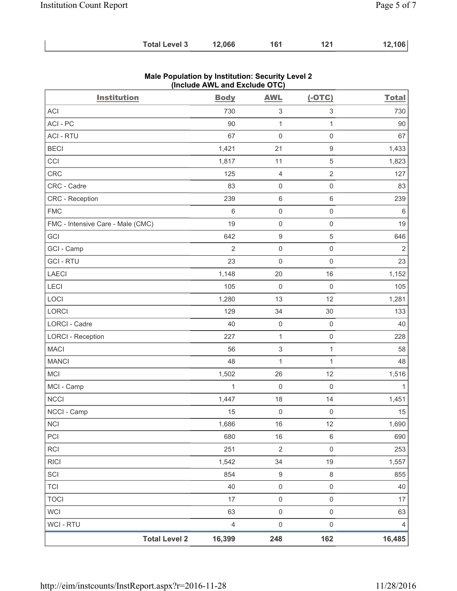| 12,066<br><b>Total Level 3</b><br>161<br>121 | 12,106 |
|----------------------------------------------|--------|
|----------------------------------------------|--------|

| <b>Institution</b>                | <b>Body</b>    | <b>AWL</b>                | $(-OTC)$            | <b>Total</b>   |
|-----------------------------------|----------------|---------------------------|---------------------|----------------|
| <b>ACI</b>                        | 730            | 3                         | 3                   | 730            |
| ACI-PC                            | 90             | $\mathbf{1}$              | $\mathbf{1}$        | 90             |
| <b>ACI - RTU</b>                  | 67             | $\mathsf{O}\xspace$       | $\mathsf{O}\xspace$ | 67             |
| <b>BECI</b>                       | 1,421          | 21                        | $\hbox{9}$          | 1,433          |
| CCI                               | 1,817          | 11                        | $\sqrt{5}$          | 1,823          |
| <b>CRC</b>                        | 125            | 4                         | $\sqrt{2}$          | 127            |
| CRC - Cadre                       | 83             | $\mathsf 0$               | $\mathsf 0$         | 83             |
| <b>CRC</b> - Reception            | 239            | $\,6$                     | $\,6\,$             | 239            |
| <b>FMC</b>                        | 6              | $\mathsf{O}\xspace$       | $\mathsf 0$         | 6              |
| FMC - Intensive Care - Male (CMC) | 19             | $\mathsf{O}\xspace$       | $\mathsf 0$         | 19             |
| GCI                               | 642            | $\boldsymbol{9}$          | 5                   | 646            |
| GCI - Camp                        | $\overline{2}$ | $\mathsf 0$               | $\mathsf{O}\xspace$ | $\overline{2}$ |
| <b>GCI-RTU</b>                    | 23             | $\mathsf{O}\xspace$       | $\mathsf 0$         | 23             |
| <b>LAECI</b>                      | 1,148          | 20                        | 16                  | 1,152          |
| LECI                              | 105            | $\mathsf{O}\xspace$       | $\mathsf{O}\xspace$ | 105            |
| LOCI                              | 1,280          | 13                        | 12                  | 1,281          |
| LORCI                             | 129            | 34                        | 30                  | 133            |
| <b>LORCI - Cadre</b>              | 40             | $\mathsf{O}\xspace$       | $\mathsf 0$         | 40             |
| <b>LORCI - Reception</b>          | 227            | $\mathbf{1}$              | $\mathsf 0$         | 228            |
| <b>MACI</b>                       | 56             | $\ensuremath{\mathsf{3}}$ | $\mathbf{1}$        | 58             |
| <b>MANCI</b>                      | 48             | $\mathbf{1}$              | $\mathbf{1}$        | 48             |
| <b>MCI</b>                        | 1,502          | 26                        | 12                  | 1,516          |
| MCI - Camp                        | $\mathbf{1}$   | $\mathsf{O}\xspace$       | $\mathsf 0$         | 1              |
| NCCI                              | 1,447          | 18                        | 14                  | 1,451          |
| NCCI - Camp                       | 15             | 0                         | $\mathsf 0$         | 15             |
| <b>NCI</b>                        | 1,686          | 16                        | 12                  | 1,690          |
| PCI                               | 680            | 16                        | $\,6\,$             | 690            |
| RCI                               | 251            | $\mathbf 2$               | $\mathsf 0$         | 253            |
| <b>RICI</b>                       | 1,542          | 34                        | 19                  | 1,557          |
| SCI                               | 854            | $\boldsymbol{9}$          | $\,8\,$             | 855            |
| <b>TCI</b>                        | 40             | $\mathsf{O}\xspace$       | $\mathsf{O}\xspace$ | 40             |
| <b>TOCI</b>                       | 17             | $\mathsf{O}\xspace$       | $\mathsf 0$         | 17             |
| <b>WCI</b>                        | 63             | $\mathsf 0$               | $\mathsf 0$         | 63             |
| WCI - RTU                         | $\overline{4}$ | $\mathsf{O}\xspace$       | $\mathbf 0$         | 4              |
| <b>Total Level 2</b>              | 16,399         | 248                       | 162                 | 16,485         |

### **Male Population by Institution: Security Level 2 (Include AWL and Exclude OTC)**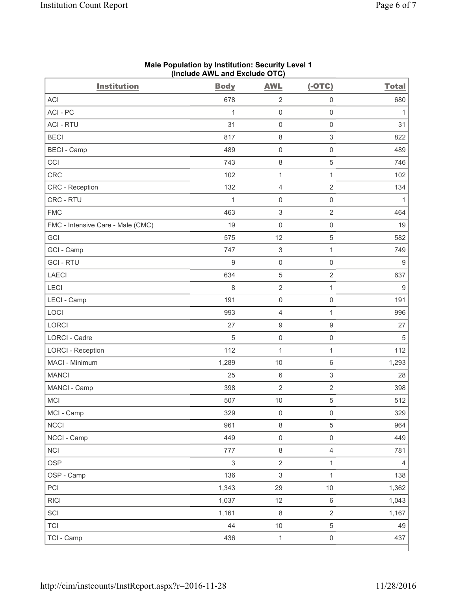| <b>Institution</b>                | <b>Body</b>               | <b>AWL</b>                | $(-OTC)$                  | <b>Total</b> |
|-----------------------------------|---------------------------|---------------------------|---------------------------|--------------|
| <b>ACI</b>                        | 678                       | $\sqrt{2}$                | $\mathbf 0$               | 680          |
| ACI - PC                          | 1                         | $\mathsf 0$               | $\mathsf{O}\xspace$       | $\mathbf{1}$ |
| <b>ACI - RTU</b>                  | 31                        | $\mathsf 0$               | $\mathbf 0$               | 31           |
| <b>BECI</b>                       | 817                       | $\,8\,$                   | $\ensuremath{\mathsf{3}}$ | 822          |
| <b>BECI - Camp</b>                | 489                       | $\mathsf 0$               | $\mathsf 0$               | 489          |
| CCI                               | 743                       | $\,8\,$                   | $\,$ 5 $\,$               | 746          |
| CRC                               | 102                       | $\mathbf{1}$              | $\mathbf{1}$              | 102          |
| CRC - Reception                   | 132                       | $\overline{4}$            | $\sqrt{2}$                | 134          |
| CRC - RTU                         | $\mathbf{1}$              | $\mathsf{O}\xspace$       | $\mathbf 0$               | 1            |
| <b>FMC</b>                        | 463                       | $\,$ 3 $\,$               | $\sqrt{2}$                | 464          |
| FMC - Intensive Care - Male (CMC) | 19                        | $\mathsf{O}\xspace$       | $\mathbf 0$               | 19           |
| GCI                               | 575                       | 12                        | $\sqrt{5}$                | 582          |
| GCI - Camp                        | 747                       | $\ensuremath{\mathsf{3}}$ | $\mathbf 1$               | 749          |
| <b>GCI-RTU</b>                    | $\hbox{9}$                | $\mathsf 0$               | $\mathsf{O}\xspace$       | $9\,$        |
| <b>LAECI</b>                      | 634                       | $\mathbf 5$               | $\sqrt{2}$                | 637          |
| LECI                              | 8                         | $\sqrt{2}$                | $\mathbf{1}$              | 9            |
| LECI - Camp                       | 191                       | $\mathsf 0$               | $\mathsf 0$               | 191          |
| LOCI                              | 993                       | 4                         | 1                         | 996          |
| <b>LORCI</b>                      | 27                        | $\boldsymbol{9}$          | $\boldsymbol{9}$          | 27           |
| LORCI - Cadre                     | 5                         | $\mathsf{O}\xspace$       | $\mathsf{O}\xspace$       | $\sqrt{5}$   |
| <b>LORCI - Reception</b>          | 112                       | $\mathbf{1}$              | 1                         | 112          |
| MACI - Minimum                    | 1,289                     | 10                        | $\,6\,$                   | 1,293        |
| <b>MANCI</b>                      | 25                        | $\,6\,$                   | $\ensuremath{\mathsf{3}}$ | 28           |
| MANCI - Camp                      | 398                       | $\sqrt{2}$                | $\sqrt{2}$                | 398          |
| <b>MCI</b>                        | 507                       | $10$                      | $\,$ 5 $\,$               | 512          |
| MCI - Camp                        | 329                       | $\mathsf{O}\xspace$       | $\mathsf{O}\xspace$       | 329          |
| <b>NCCI</b>                       | 961                       | $\,8\,$                   | $\sqrt{5}$                | 964          |
| NCCI - Camp                       | 449                       | $\mathsf{O}\xspace$       | $\mathsf{O}\xspace$       | 449          |
| <b>NCI</b>                        | 777                       | $\,8\,$                   | $\overline{4}$            | 781          |
| <b>OSP</b>                        | $\ensuremath{\mathsf{3}}$ | $\mathbf 2$               | 1                         | 4            |
| OSP - Camp                        | 136                       | $\mathsf 3$               | $\mathbf{1}$              | 138          |
| PCI                               | 1,343                     | 29                        | $10$                      | 1,362        |
| <b>RICI</b>                       | 1,037                     | 12                        | $\,6\,$                   | 1,043        |
| SCI                               | 1,161                     | $\,8\,$                   | $\overline{2}$            | 1,167        |
| <b>TCI</b>                        | 44                        | $10$                      | $\,$ 5 $\,$               | 49           |
| TCI - Camp                        | 436                       | $\mathbf{1}$              | $\mathsf 0$               | 437          |

#### **Male Population by Institution: Security Level 1 (Include AWL and Exclude OTC)**